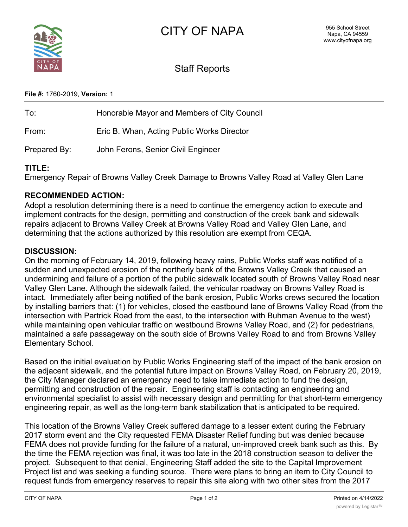

# Staff Reports

**File #:** 1760-2019, **Version:** 1

| To:          | Honorable Mayor and Members of City Council |
|--------------|---------------------------------------------|
| From:        | Eric B. Whan, Acting Public Works Director  |
| Prepared By: | John Ferons, Senior Civil Engineer          |

## **TITLE:**

Emergency Repair of Browns Valley Creek Damage to Browns Valley Road at Valley Glen Lane

## **RECOMMENDED ACTION:**

Adopt a resolution determining there is a need to continue the emergency action to execute and implement contracts for the design, permitting and construction of the creek bank and sidewalk repairs adjacent to Browns Valley Creek at Browns Valley Road and Valley Glen Lane, and determining that the actions authorized by this resolution are exempt from CEQA.

### **DISCUSSION:**

On the morning of February 14, 2019, following heavy rains, Public Works staff was notified of a sudden and unexpected erosion of the northerly bank of the Browns Valley Creek that caused an undermining and failure of a portion of the public sidewalk located south of Browns Valley Road near Valley Glen Lane. Although the sidewalk failed, the vehicular roadway on Browns Valley Road is intact. Immediately after being notified of the bank erosion, Public Works crews secured the location by installing barriers that: (1) for vehicles, closed the eastbound lane of Browns Valley Road (from the intersection with Partrick Road from the east, to the intersection with Buhman Avenue to the west) while maintaining open vehicular traffic on westbound Browns Valley Road, and (2) for pedestrians, maintained a safe passageway on the south side of Browns Valley Road to and from Browns Valley Elementary School.

Based on the initial evaluation by Public Works Engineering staff of the impact of the bank erosion on the adjacent sidewalk, and the potential future impact on Browns Valley Road, on February 20, 2019, the City Manager declared an emergency need to take immediate action to fund the design, permitting and construction of the repair. Engineering staff is contacting an engineering and environmental specialist to assist with necessary design and permitting for that short-term emergency engineering repair, as well as the long-term bank stabilization that is anticipated to be required.

This location of the Browns Valley Creek suffered damage to a lesser extent during the February 2017 storm event and the City requested FEMA Disaster Relief funding but was denied because FEMA does not provide funding for the failure of a natural, un-improved creek bank such as this. By the time the FEMA rejection was final, it was too late in the 2018 construction season to deliver the project. Subsequent to that denial, Engineering Staff added the site to the Capital Improvement Project list and was seeking a funding source. There were plans to bring an item to City Council to request funds from emergency reserves to repair this site along with two other sites from the 2017